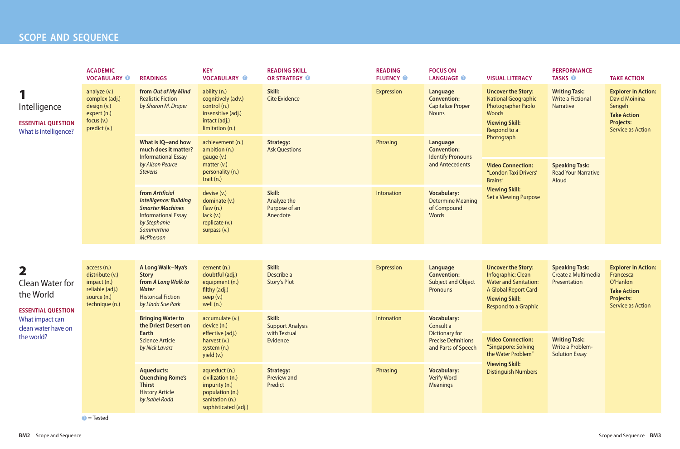## **SCOPE AND SEQUENCE**

|                                                                                                                                          | <b>ACADEMIC</b><br><b>VOCABULARY O</b>                                                            | <b>READINGS</b>                                                                                                                                             | <b>KEY</b><br><b>VOCABULARY O</b>                                                                                 | <b>READING SKILL</b><br><b>OR STRATEGY O</b>       | <b>READING</b><br><b>FLUENCY O</b> | <b>FOCUS ON</b><br><b>LANGUAGE O</b>                                                 | <b>VISUAL LITERACY</b>                                                                                                                                                                                                                                                        | <b>PERFORMANCE</b><br><b>TASKS O</b>                              | <b>TAKE ACTION</b>                                                                                                                 |
|------------------------------------------------------------------------------------------------------------------------------------------|---------------------------------------------------------------------------------------------------|-------------------------------------------------------------------------------------------------------------------------------------------------------------|-------------------------------------------------------------------------------------------------------------------|----------------------------------------------------|------------------------------------|--------------------------------------------------------------------------------------|-------------------------------------------------------------------------------------------------------------------------------------------------------------------------------------------------------------------------------------------------------------------------------|-------------------------------------------------------------------|------------------------------------------------------------------------------------------------------------------------------------|
| Intelligence<br><b>ESSENTIAL QUESTION</b><br>What is intelligence?                                                                       | analyze (v.)<br>complex (adj.)<br>design (v.)<br>expert (n.)<br>focus $(v.)$<br>predict (v.)      | from Out of My Mind<br><b>Realistic Fiction</b><br>by Sharon M. Draper                                                                                      | ability (n.)<br>cognitively (adv.)<br>control (n.)<br>insensitive (adj.)<br>intact (adj.)<br>limitation (n.)      | Skill:<br><b>Cite Evidence</b>                     | <b>Expression</b>                  | Language<br><b>Convention:</b><br><b>Capitalize Proper</b><br><b>Nouns</b>           | <b>Uncover the Story:</b><br><b>National Geographic</b><br><b>Photographer Paolo</b><br>Woods<br><b>Viewing Skill:</b><br>Respond to a<br>Photograph<br><b>Video Connection:</b><br>"London Taxi Drivers'<br>Brains"<br><b>Viewing Skill:</b><br><b>Set a Viewing Purpose</b> | <b>Writing Task:</b><br><b>Write a Fictional</b><br>Narrative     | <b>Explorer in Action:</b><br><b>David Moinina</b><br>Sengeh<br><b>Take Action</b><br><b>Projects:</b><br><b>Service as Action</b> |
|                                                                                                                                          |                                                                                                   | What is IQ-and how<br>much does it matter?<br><b>Informational Essay</b><br>by Alison Pearce<br><b>Stevens</b>                                              | achievement (n.)<br>ambition (n.)<br>gauge (v.)<br>matter (v.)<br>personality (n.)<br>trait (n.)                  | <b>Strategy:</b><br><b>Ask Questions</b>           | Phrasing                           | <b>Language</b><br><b>Convention:</b><br><b>Identify Pronouns</b><br>and Antecedents |                                                                                                                                                                                                                                                                               | <b>Speaking Task:</b><br><b>Read Your Narrative</b><br>Aloud      |                                                                                                                                    |
|                                                                                                                                          |                                                                                                   | from Artificial<br><b>Intelligence: Building</b><br><b>Smarter Machines</b><br><b>Informational Essay</b><br>by Stephanie<br>Sammartino<br><b>McPherson</b> | devise (v.)<br>dominate (v.)<br>flaw $(n.)$<br>lack(v.)<br>replicate (v.)<br>surpass (v.)                         | Skill:<br>Analyze the<br>Purpose of an<br>Anecdote | Intonation                         | <b>Vocabulary:</b><br><b>Determine Meaning</b><br>of Compound<br>Words               |                                                                                                                                                                                                                                                                               |                                                                   |                                                                                                                                    |
|                                                                                                                                          |                                                                                                   |                                                                                                                                                             |                                                                                                                   |                                                    |                                    |                                                                                      |                                                                                                                                                                                                                                                                               |                                                                   |                                                                                                                                    |
| $\mathbf{2}$<br><b>Clean Water for</b><br>the World<br><b>ESSENTIAL QUESTION</b><br>What impact can<br>clean water have on<br>the world? | access (n.)<br>distribute (v.)<br>impact (n.)<br>reliable (adj.)<br>source (n.)<br>technique (n.) | A Long Walk-Nya's<br><b>Story</b><br>from A Long Walk to<br><b>Water</b><br><b>Historical Fiction</b><br>by Linda Sue Park                                  | cement (n.)<br>doubtful (adj.)<br>equipment (n.)<br>filthy (adj.)<br>seep (v.)<br>well (n.)                       | Skill:<br>Describe a<br><b>Story's Plot</b>        | <b>Expression</b>                  | Language<br><b>Convention:</b><br><b>Subject and Object</b><br>Pronouns              | <b>Uncover the Story:</b><br>Infographic: Clean<br><b>Water and Sanitation:</b><br>A Global Report Card<br><b>Viewing Skill:</b><br><b>Respond to a Graphic</b>                                                                                                               | <b>Speaking Task:</b><br>Create a Multimedia<br>Presentation      | <b>Explorer in Action:</b><br>Francesca<br>O'Hanlon<br><b>Take Action</b><br><b>Projects:</b><br><b>Service as Action</b>          |
|                                                                                                                                          |                                                                                                   | Skill:<br><b>Bringing Water to</b><br>accumulate (v.)<br>the Driest Desert on<br>device (n.)<br><b>Support Analysis</b>                                     |                                                                                                                   | Intonation                                         | <b>Vocabulary:</b><br>Consult a    |                                                                                      |                                                                                                                                                                                                                                                                               |                                                                   |                                                                                                                                    |
|                                                                                                                                          |                                                                                                   | Earth<br><b>Science Article</b><br>by Nick Lavars                                                                                                           | effective (adj.)<br>harvest (v.)<br>system (n.)<br>yield (v.)                                                     | with Textual<br>Evidence                           |                                    | Dictionary for<br><b>Precise Definitions</b><br>and Parts of Speech                  | <b>Video Connection:</b><br>"Singapore: Solving<br>the Water Problem"                                                                                                                                                                                                         | <b>Writing Task:</b><br>Write a Problem-<br><b>Solution Essay</b> |                                                                                                                                    |
|                                                                                                                                          |                                                                                                   | <b>Aqueducts:</b><br><b>Quenching Rome's</b><br><b>Thirst</b><br><b>History Article</b><br>by Isabel Rodà                                                   | aqueduct (n.)<br>civilization (n.)<br>impurity (n.)<br>population (n.)<br>sanitation (n.)<br>sophisticated (adj.) | <b>Strategy:</b><br><b>Preview and</b><br>Predict  | Phrasing                           | <b>Vocabulary:</b><br><b>Verify Word</b><br><b>Meanings</b>                          | <b>Viewing Skill:</b><br><b>Distinguish Numbers</b>                                                                                                                                                                                                                           |                                                                   |                                                                                                                                    |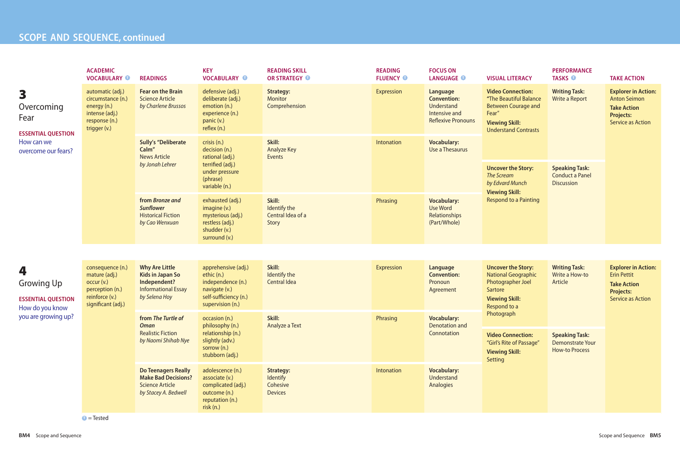## **SCOPE AND SEQUENCE, continued**

| <b>FOCUS ON</b><br><b>LANGUAGE O</b>                                                                     | <b>VISUAL LITERACY</b>                                                                                                                            | <b>PERFORMANCE</b><br><b>TASKS O</b>                                      | <b>TAKE ACTION</b>                                                                                                      |  |  |
|----------------------------------------------------------------------------------------------------------|---------------------------------------------------------------------------------------------------------------------------------------------------|---------------------------------------------------------------------------|-------------------------------------------------------------------------------------------------------------------------|--|--|
| <b>Language</b><br><b>Convention:</b><br><b>Understand</b><br>Intensive and<br><b>Reflexive Pronouns</b> | <b>Video Connection:</b><br>"The Beautiful Balance<br><b>Between Courage and</b><br>Fear"<br><b>Viewing Skill:</b><br><b>Understand Contrasts</b> | <b>Writing Task:</b><br><b>Write a Report</b>                             | <b>Explorer in Action:</b><br><b>Anton Seimon</b><br><b>Take Action</b><br><b>Projects:</b><br><b>Service as Action</b> |  |  |
| <b>Vocabulary:</b><br><b>Use a Thesaurus</b>                                                             |                                                                                                                                                   |                                                                           |                                                                                                                         |  |  |
|                                                                                                          | <b>Uncover the Story:</b><br><b>The Scream</b><br>by Edvard Munch<br><b>Viewing Skill:</b>                                                        | <b>Speaking Task:</b><br><b>Conduct a Panel</b><br><b>Discussion</b>      |                                                                                                                         |  |  |
| <b>Vocabulary:</b><br><b>Use Word</b><br><b>Relationships</b><br>(Part/Whole)                            | <b>Respond to a Painting</b>                                                                                                                      |                                                                           |                                                                                                                         |  |  |
|                                                                                                          |                                                                                                                                                   |                                                                           |                                                                                                                         |  |  |
| <b>Language</b><br><b>Convention:</b><br>Pronoun<br>Agreement                                            | <b>Uncover the Story:</b><br><b>National Geographic</b><br>Photographer Joel<br><b>Sartore</b><br><b>Viewing Skill:</b><br>Respond to a           | <b>Writing Task:</b><br>Write a How-to<br>Article                         | <b>Explorer in Action:</b><br><b>Erin Pettit</b><br><b>Take Action</b><br><b>Projects:</b><br><b>Service as Action</b>  |  |  |
| <b>Vocabulary:</b><br><b>Denotation and</b>                                                              | Photograph                                                                                                                                        |                                                                           |                                                                                                                         |  |  |
| Connotation                                                                                              | <b>Video Connection:</b><br>"Girl's Rite of Passage"<br><b>Viewing Skill:</b><br>Setting                                                          | <b>Speaking Task:</b><br><b>Demonstrate Your</b><br><b>How-to Process</b> |                                                                                                                         |  |  |
| <b>Vocabulary:</b><br><b>Understand</b><br><b>Analogies</b>                                              |                                                                                                                                                   |                                                                           |                                                                                                                         |  |  |

|                                                                        | <b>ACADEMIC</b><br><b>VOCABULARY O</b>                                                                     | <b>READINGS</b>                                                                                                 | <b>KEY</b><br><b>VOCABULARY O</b>                                                                                    | <b>READING SKILL</b><br>OR STRATEGY O                                                                      | <b>READING</b><br><b>FLUENCY O</b> | <b>FOCUS ON</b><br><b>LANGUAGE O</b>                                                       |                                                            |
|------------------------------------------------------------------------|------------------------------------------------------------------------------------------------------------|-----------------------------------------------------------------------------------------------------------------|----------------------------------------------------------------------------------------------------------------------|------------------------------------------------------------------------------------------------------------|------------------------------------|--------------------------------------------------------------------------------------------|------------------------------------------------------------|
| 3<br>Overcoming<br>Fear<br><b>ESSENTIAL QUESTION</b>                   | automatic (adj.)<br>circumstance (n.)<br>energy (n.)<br>intense (adj.)<br>response (n.)<br>trigger (v.)    | <b>Fear on the Brain</b><br><b>Science Article</b><br>by Charlene Brussos                                       | defensive (adj.)<br>deliberate (adj.)<br>emotion (n.)<br>experience (n.)<br>panic (v.)<br>reflex (n.)                | <b>Strategy:</b><br><b>Monitor</b><br>Comprehension                                                        | <b>Expression</b>                  | Language<br><b>Convention:</b><br>Understand<br>Intensive and<br><b>Reflexive Pronouns</b> |                                                            |
| How can we<br>overcome our fears?                                      |                                                                                                            | <b>Sully's "Deliberate</b><br>Calm"<br><b>News Article</b><br>by Jonah Lehrer                                   | crisis (n.)<br>decision (n.)<br>rational (adj.)<br>terrified (adj.)<br>under pressure<br>(phrase)<br>variable (n.)   | Skill:<br><b>Analyze Key</b><br>Events                                                                     | Intonation                         | <b>Vocabulary:</b><br>Use a Thesaurus                                                      |                                                            |
|                                                                        |                                                                                                            | from Bronze and<br><b>Sunflower</b><br><b>Historical Fiction</b><br>by Cao Wenxuan                              | exhausted (adj.)<br>imagine (v.)<br>mysterious (adj.)<br>restless (adj.)<br>shudder (v.)<br>surround (v.)            | Skill:<br>Identify the<br>Central Idea of a<br><b>Story</b>                                                | Phrasing                           | <b>Vocabulary:</b><br><b>Use Word</b><br>Relationships<br>(Part/Whole)                     |                                                            |
|                                                                        |                                                                                                            |                                                                                                                 |                                                                                                                      |                                                                                                            |                                    |                                                                                            |                                                            |
| 4<br><b>Growing Up</b><br><b>ESSENTIAL OUESTION</b><br>How do you know | consequence (n.)<br>mature (adj.)<br>occur (v.)<br>perception (n.)<br>reinforce (v.)<br>significant (adj.) | <b>Why Are Little</b><br><b>Kids in Japan So</b><br>Independent?<br><b>Informational Essay</b><br>by Selena Hoy | apprehensive (adj.)<br>ethic (n.)<br>independence (n.)<br>navigate (v.)<br>self-sufficiency (n.)<br>supervision (n.) | Skill:<br>Identify the<br><b>Central Idea</b>                                                              | <b>Expression</b>                  | Language<br><b>Convention:</b><br>Pronoun<br>Agreement                                     |                                                            |
| you are growing up?                                                    |                                                                                                            |                                                                                                                 | from The Turtle of<br><b>Oman</b><br><b>Realistic Fiction</b><br>by Naomi Shihab Nye                                 | occasion (n.)<br>philosophy (n.)<br>relationship (n.)<br>slightly (adv.)<br>sorrow (n.)<br>stubborn (adj.) | Skill:<br>Analyze a Text           | Phrasing                                                                                   | <b>Vocabulary:</b><br><b>Denotation and</b><br>Connotation |
|                                                                        |                                                                                                            | <b>Do Teenagers Really</b><br><b>Make Bad Decisions?</b><br><b>Science Article</b><br>by Stacey A. Bedwell      | adolescence (n.)<br>associate (v.)<br>complicated (adj.)<br>outcome (n.)<br>reputation (n.)<br>risk(n)               | <b>Strategy:</b><br>Identify<br>Cohesive<br><b>Devices</b>                                                 | Intonation                         | <b>Vocabulary:</b><br>Understand<br>Analogies                                              |                                                            |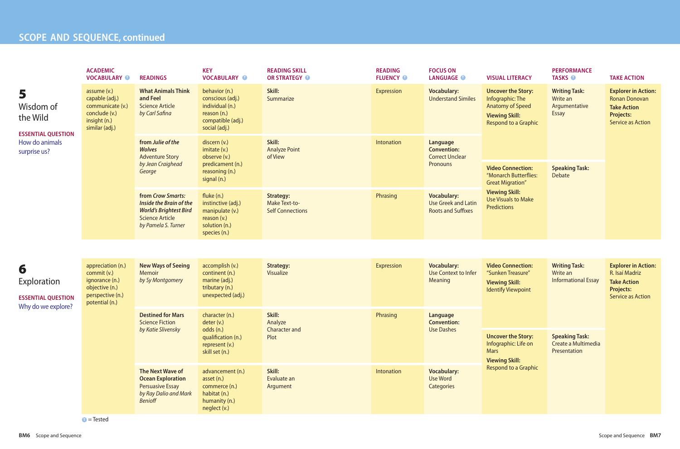## **PARTICLE SCOPE** AND **SEQUENCE**, continued

|                                                                                           | <b>ACADEMIC</b><br><b>VOCABULARY O</b>                                                                     | <b>READINGS</b>                                                                                                                       | <b>KEY</b><br><b>VOCABULARY O</b>                                                                         | <b>READING SKILL</b><br>OR STRATEGY O                               | <b>READING</b><br><b>FLUENCY O</b> | <b>FOCUS ON</b><br><b>LANGUAGE O</b>                                                                                                             | <b>VISUAL LITERACY</b>                                                                                                                                    | <b>PERFORMANCE</b><br><b>TASKS O</b>                              | <b>TAKE ACTION</b>                                                                                                       |
|-------------------------------------------------------------------------------------------|------------------------------------------------------------------------------------------------------------|---------------------------------------------------------------------------------------------------------------------------------------|-----------------------------------------------------------------------------------------------------------|---------------------------------------------------------------------|------------------------------------|--------------------------------------------------------------------------------------------------------------------------------------------------|-----------------------------------------------------------------------------------------------------------------------------------------------------------|-------------------------------------------------------------------|--------------------------------------------------------------------------------------------------------------------------|
| 5<br>Wisdom of<br>the Wild<br><b>ESSENTIAL QUESTION</b><br>How do animals<br>surprise us? | assume (v.)<br>capable (adj.)<br>communicate (v.)<br>conclude (v.)<br>insight (n.)<br>similar (adj.)       | <b>What Animals Think</b><br>and Feel<br><b>Science Article</b><br>by Carl Safina                                                     | behavior (n.)<br>conscious (adj.)<br>individual (n.)<br>reason (n.)<br>compatible (adj.)<br>social (adj.) | Skill:<br>Summarize                                                 | Expression                         | <b>Vocabulary:</b><br><b>Understand Similes</b>                                                                                                  | <b>Uncover the Story:</b><br>Infographic: The<br><b>Anatomy of Speed</b><br><b>Viewing Skill:</b><br><b>Respond to a Graphic</b>                          | <b>Writing Task:</b><br>Write an<br>Argumentative<br><b>Essay</b> | <b>Explorer in Action:</b><br><b>Ronan Donovan</b><br><b>Take Action</b><br><b>Projects:</b><br><b>Service as Action</b> |
|                                                                                           |                                                                                                            | from Julie of the<br><b>Wolves</b><br><b>Adventure Story</b>                                                                          | discern (v.)<br>imitate (v.)<br>observe (v.)                                                              | Skill:<br><b>Analyze Point</b><br>of View                           | Intonation                         | Language<br><b>Convention:</b><br><b>Correct Unclear</b>                                                                                         |                                                                                                                                                           |                                                                   |                                                                                                                          |
|                                                                                           |                                                                                                            | by Jean Craighead<br>George                                                                                                           | predicament (n.)<br>reasoning (n.)<br>signal (n.)                                                         |                                                                     |                                    | Pronouns                                                                                                                                         | <b>Video Connection:</b><br>"Monarch Butterflies:<br><b>Great Migration"</b><br><b>Viewing Skill:</b><br><b>Use Visuals to Make</b><br><b>Predictions</b> | <b>Speaking Task:</b><br>Debate                                   |                                                                                                                          |
|                                                                                           |                                                                                                            | from Crow Smarts:<br><b>Inside the Brain of the</b><br><b>World's Brightest Bird</b><br><b>Science Article</b><br>by Pamela S. Turner | fluke (n.)<br>instinctive (adj.)<br>manipulate (v.)<br>reason $(v.)$<br>solution (n.)<br>species (n.)     | <b>Strategy:</b><br><b>Make Text-to-</b><br><b>Self Connections</b> | Phrasing                           | <b>Vocabulary:</b><br><b>Use Greek and Latin</b><br><b>Roots and Suffixes</b>                                                                    |                                                                                                                                                           |                                                                   |                                                                                                                          |
|                                                                                           |                                                                                                            |                                                                                                                                       |                                                                                                           |                                                                     |                                    |                                                                                                                                                  |                                                                                                                                                           |                                                                   |                                                                                                                          |
| 6<br>Exploration                                                                          | appreciation (n.)<br>commit (v.)<br>ignorance (n.)<br>objective (n.)<br>perspective (n.)<br>potential (n.) | <b>New Ways of Seeing</b><br><b>Memoir</b><br>by Sy Montgomery                                                                        | accomplish (v.)<br>continent (n.)<br>marine (adj.)<br>tributary (n.)                                      | <b>Strategy:</b><br>Visualize                                       | Expression                         | <b>Vocabulary:</b><br><b>Use Context to Infer</b><br>Meaning                                                                                     | <b>Video Connection:</b><br>Write an<br>"Sunken Treasure"<br><b>Viewing Skill:</b><br><b>Identify Viewpoint</b>                                           | <b>Writing Task:</b><br><b>Informational Essay</b>                | <b>Explorer in Action:</b><br>R. Isaí Madriz<br><b>Take Action</b><br><b>Projects:</b><br><b>Service as Action</b>       |
| <b>ESSENTIAL QUESTION</b><br>Why do we explore?                                           |                                                                                                            |                                                                                                                                       | unexpected (adj.)                                                                                         |                                                                     |                                    |                                                                                                                                                  |                                                                                                                                                           |                                                                   |                                                                                                                          |
|                                                                                           |                                                                                                            | <b>Destined for Mars</b><br><b>Science Fiction</b>                                                                                    | character (n.)<br>deter (v.)                                                                              | Skill:<br>Analyze                                                   | Phrasing                           | Language<br><b>Convention:</b><br><b>Use Dashes</b><br><b>Uncover the Story:</b><br>Infographic: Life on<br><b>Mars</b><br><b>Viewing Skill:</b> |                                                                                                                                                           |                                                                   |                                                                                                                          |
|                                                                                           |                                                                                                            | by Katie Slivensky                                                                                                                    | odds (n.)<br>qualification (n.)<br>represent (v.)<br>skill set (n.)                                       | <b>Character and</b><br>Plot                                        |                                    |                                                                                                                                                  |                                                                                                                                                           | <b>Speaking Task:</b><br>Create a Multimedia<br>Presentation      |                                                                                                                          |
|                                                                                           |                                                                                                            | The Next Wave of<br><b>Ocean Exploration</b><br><b>Persuasive Essay</b><br>by Ray Dalio and Mark<br><b>Benioff</b>                    | advancement (n.)<br>asset (n.)<br>commerce (n.)<br>habitat (n.)<br>humanity (n.)<br>neglect (v.)          | Skill:<br>Evaluate an<br>Argument                                   | Intonation                         | <b>Vocabulary:</b><br>Use Word<br><b>Categories</b>                                                                                              | <b>Respond to a Graphic</b>                                                                                                                               |                                                                   |                                                                                                                          |